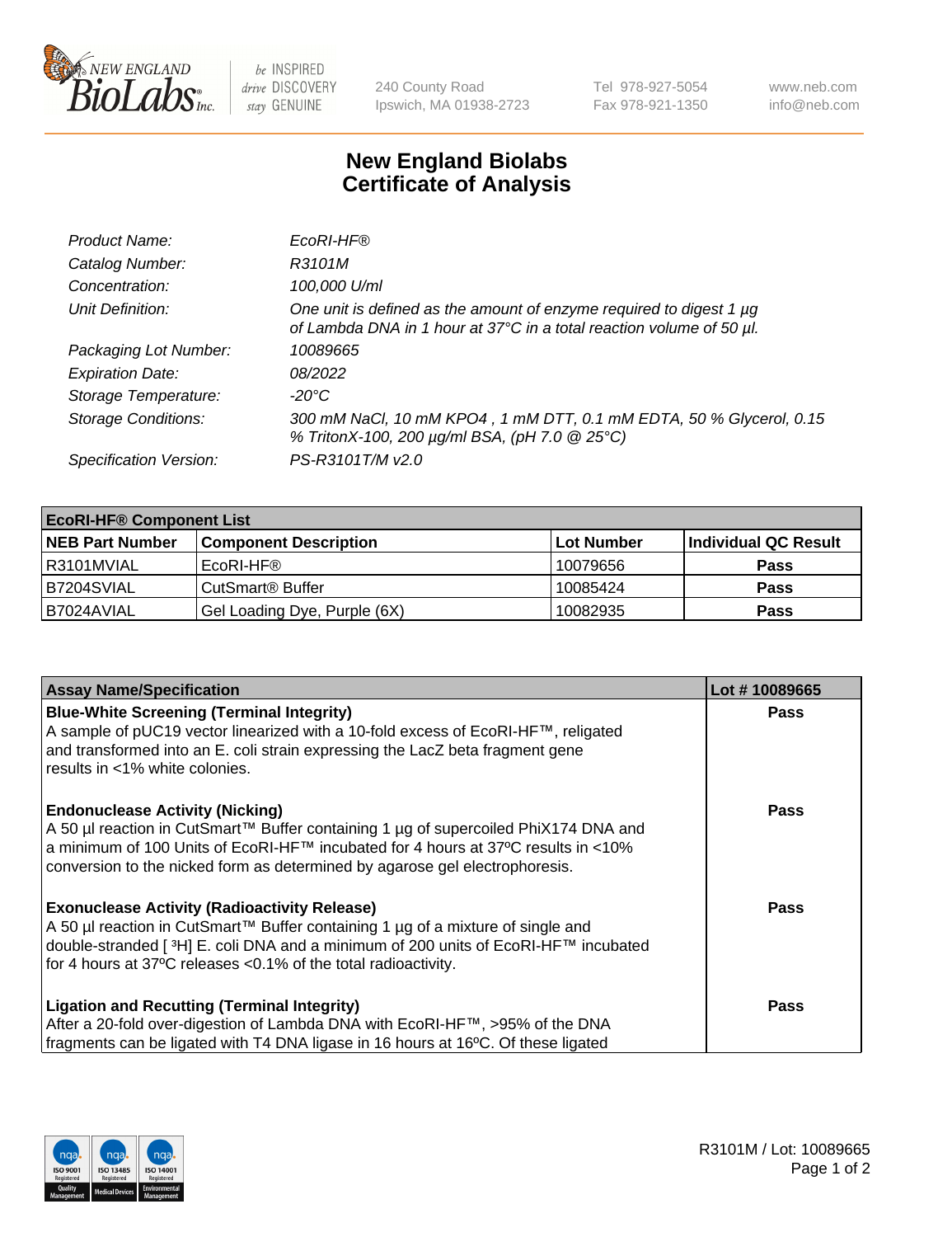

 $be$  INSPIRED drive DISCOVERY stay GENUINE

240 County Road Ipswich, MA 01938-2723 Tel 978-927-5054 Fax 978-921-1350 www.neb.com info@neb.com

## **New England Biolabs Certificate of Analysis**

| Product Name:              | EcoRI-HF®                                                                                                                                   |
|----------------------------|---------------------------------------------------------------------------------------------------------------------------------------------|
| Catalog Number:            | R3101M                                                                                                                                      |
| Concentration:             | 100,000 U/ml                                                                                                                                |
| Unit Definition:           | One unit is defined as the amount of enzyme required to digest 1 µg<br>of Lambda DNA in 1 hour at 37°C in a total reaction volume of 50 µl. |
| Packaging Lot Number:      | 10089665                                                                                                                                    |
| <b>Expiration Date:</b>    | 08/2022                                                                                                                                     |
| Storage Temperature:       | -20°C                                                                                                                                       |
| <b>Storage Conditions:</b> | 300 mM NaCl, 10 mM KPO4, 1 mM DTT, 0.1 mM EDTA, 50 % Glycerol, 0.15<br>% TritonX-100, 200 µg/ml BSA, (pH 7.0 @ 25°C)                        |
| Specification Version:     | PS-R3101T/M v2.0                                                                                                                            |

| <b>EcoRI-HF® Component List</b> |                              |                   |                      |  |  |
|---------------------------------|------------------------------|-------------------|----------------------|--|--|
| <b>NEB Part Number</b>          | <b>Component Description</b> | <b>Lot Number</b> | Individual QC Result |  |  |
| l R3101MVIAL                    | EcoRI-HF®                    | 10079656          | <b>Pass</b>          |  |  |
| B7204SVIAL                      | CutSmart <sup>®</sup> Buffer | 10085424          | <b>Pass</b>          |  |  |
| I B7024AVIAL                    | Gel Loading Dye, Purple (6X) | 10082935          | <b>Pass</b>          |  |  |

| <b>Assay Name/Specification</b>                                                                                                                                           | Lot #10089665 |
|---------------------------------------------------------------------------------------------------------------------------------------------------------------------------|---------------|
| <b>Blue-White Screening (Terminal Integrity)</b>                                                                                                                          | <b>Pass</b>   |
| A sample of pUC19 vector linearized with a 10-fold excess of EcoRI-HF™, religated<br>and transformed into an E. coli strain expressing the LacZ beta fragment gene        |               |
| results in <1% white colonies.                                                                                                                                            |               |
| <b>Endonuclease Activity (Nicking)</b>                                                                                                                                    | <b>Pass</b>   |
| A 50 µl reaction in CutSmart™ Buffer containing 1 µg of supercoiled PhiX174 DNA and<br> a minimum of 100 Units of EcoRI-HF™ incubated for 4 hours at 37°C results in <10% |               |
| conversion to the nicked form as determined by agarose gel electrophoresis.                                                                                               |               |
| <b>Exonuclease Activity (Radioactivity Release)</b>                                                                                                                       | Pass          |
| A 50 µl reaction in CutSmart™ Buffer containing 1 µg of a mixture of single and                                                                                           |               |
| double-stranded [ <sup>3</sup> H] E. coli DNA and a minimum of 200 units of EcoRI-HF™ incubated<br>for 4 hours at 37°C releases <0.1% of the total radioactivity.         |               |
|                                                                                                                                                                           |               |
| <b>Ligation and Recutting (Terminal Integrity)</b>                                                                                                                        | <b>Pass</b>   |
| After a 20-fold over-digestion of Lambda DNA with EcoRI-HF™, >95% of the DNA                                                                                              |               |
| fragments can be ligated with T4 DNA ligase in 16 hours at 16°C. Of these ligated                                                                                         |               |